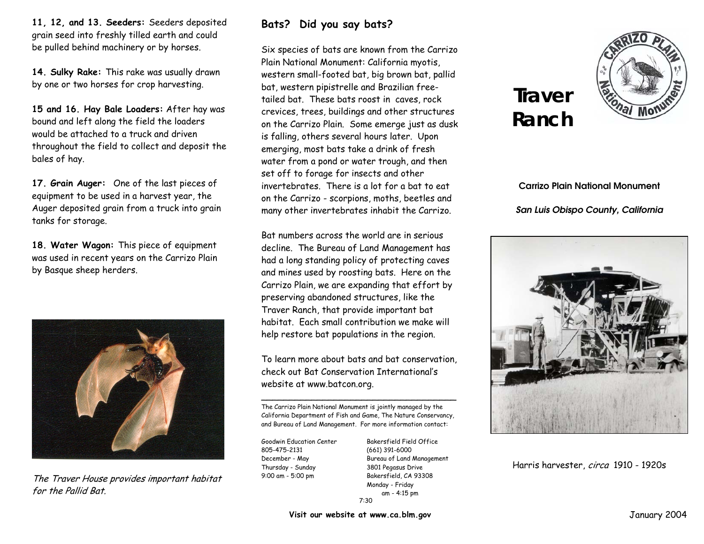**11, 12, and 13. Seeders:** Seeders deposited grain seed into freshly tilled earth and could be pulled behind machinery or by horses.

**14. Sulky Rake:** This rake was usually drawn by one or two horses for crop harvesting.

**15 and 16. Hay Bale Loaders:** After hay was bound and left along the field the loaders would be attached to a truck and driven throughout the field to collect and deposit the bales of hay.

**17. Grain Auger:** One of the last pieces of equipment to be used in a harvest year, the Auger deposited grain from a truck into grain tanks for storage.

**18. Water Wagon:** This piece of equipment was used in recent years on the Carrizo Plain by Basque sheep herders.



The Traver House provides important habitat for the Pallid Bat.

## **Bats? Did you say bats?**

Six species of bats are known from the Carrizo Plain National Monument: California myotis, western small-footed bat, big brown bat, pallid bat, western pipistrelle and Brazilian freetailed bat. These bats roost in caves, rock crevices, trees, buildings and other structures on the Carrizo Plain. Some emerge just as dusk is falling, others several hours later. Upon emerging, most bats take a drink of fresh water from a pond or water trough, and then set off to forage for insects and other invertebrates. There is a lot for a bat to eat on the Carrizo - scorpions, moths, beetles and many other invertebrates inhabit the Carrizo.

Bat numbers across the world are in serious decline. The Bureau of Land Management has had a long standing policy of protecting caves and mines used by roosting bats. Here on the Carrizo Plain, we are expanding that effort by preserving abandoned structures, like the Traver Ranch, that provide important bat habitat. Each small contribution we make will help restore bat populations in the region.

To learn more about bats and bat conservation, check out Bat Conservation International's website at www.batcon.org.

 $\mathcal{L}_\mathcal{L}$  , and the contribution of the contribution of the contribution of the contribution of the contribution of the contribution of the contribution of the contribution of the contribution of the contribution of The Carrizo Plain National Monument is jointly managed by the California Department of Fish and Game, The Nature Conservancy, and Bureau of Land Management. For more information contact:

805-475-2131 (661) 391-6000 Thursday - Sunday 3801 Pegasus Drive 9:00 am - 5:00 pm Bakersfield, CA 93308

Goodwin Education Center Bakersfield Field Office December - May Bureau of Land Management Monday - Friday 7:30am - 4:15 pm

## **Traver Ranch**



**Carrizo Plain National Monument** *San Luis Obispo County, California* 



Harris harvester, circa 1910 - 1920s